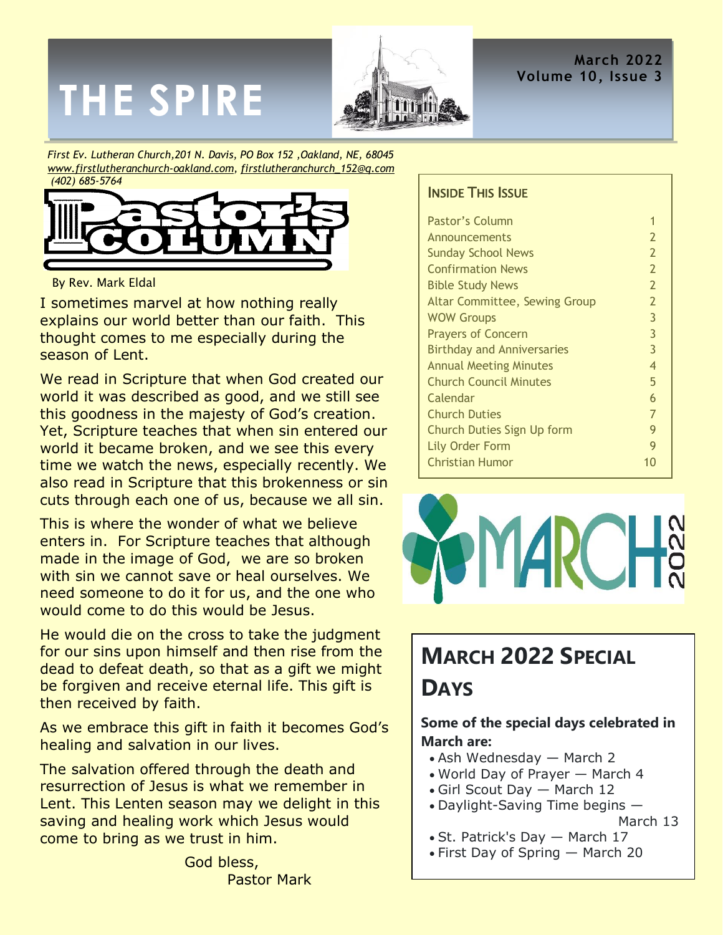# **THE SPIRE**



**March 2022 Volume 10, Issue 3**

*First Ev. Lutheran Church,201 N. Davis, PO Box 152 ,Oakland, NE, 68045 [www.firstlutheranchurch-oakland.com,](http://www.firstlutheranchurch-oakland.com/) [firstlutheranchurch\\_152@q.com](mailto:firstlutheranchurch_152@q.com)  (402) 685-5764*



#### By Rev. Mark Eldal

I sometimes marvel at how nothing really explains our world better than our faith. This thought comes to me especially during the season of Lent.

We read in Scripture that when God created our world it was described as good, and we still see this goodness in the majesty of God's creation. Yet, Scripture teaches that when sin entered our world it became broken, and we see this every time we watch the news, especially recently. We also read in Scripture that this brokenness or sin cuts through each one of us, because we all sin.

This is where the wonder of what we believe enters in. For Scripture teaches that although made in the image of God, we are so broken with sin we cannot save or heal ourselves. We need someone to do it for us, and the one who would come to do this would be Jesus.

He would die on the cross to take the judgment for our sins upon himself and then rise from the dead to defeat death, so that as a gift we might be forgiven and receive eternal life. This gift is then received by faith.

As we embrace this gift in faith it becomes God's healing and salvation in our lives.

The salvation offered through the death and resurrection of Jesus is what we remember in Lent. This Lenten season may we delight in this saving and healing work which Jesus would come to bring as we trust in him.

> God bless, Pastor Mark

#### **INSIDE THIS ISSUE**

| Pastor's Column                   |                |
|-----------------------------------|----------------|
| Announcements                     | 2              |
| <b>Sunday School News</b>         | $\overline{2}$ |
| <b>Confirmation News</b>          | $\overline{2}$ |
| <b>Bible Study News</b>           | $\overline{2}$ |
| Altar Committee, Sewing Group     | 2              |
| <b>WOW Groups</b>                 | 3              |
| <b>Prayers of Concern</b>         | 3              |
| <b>Birthday and Anniversaries</b> | 3              |
| <b>Annual Meeting Minutes</b>     | 4              |
| <b>Church Council Minutes</b>     | 5              |
| Calendar                          | 6              |
| <b>Church Duties</b>              | 7              |
| Church Duties Sign Up form        | 9              |
| <b>Lily Order Form</b>            | 9              |
| <b>Christian Humor</b>            |                |
|                                   |                |



# **MARCH 2022 SPECIAL**

### **DAYS**

#### **Some of the special days celebrated in March are:**

- Ash Wednesday March 2
- World Day of Prayer March 4
- Girl Scout Day March 12
- Daylight-Saving Time begins —

- St. Patrick's Day March 17
- First Day of Spring March 20

March 13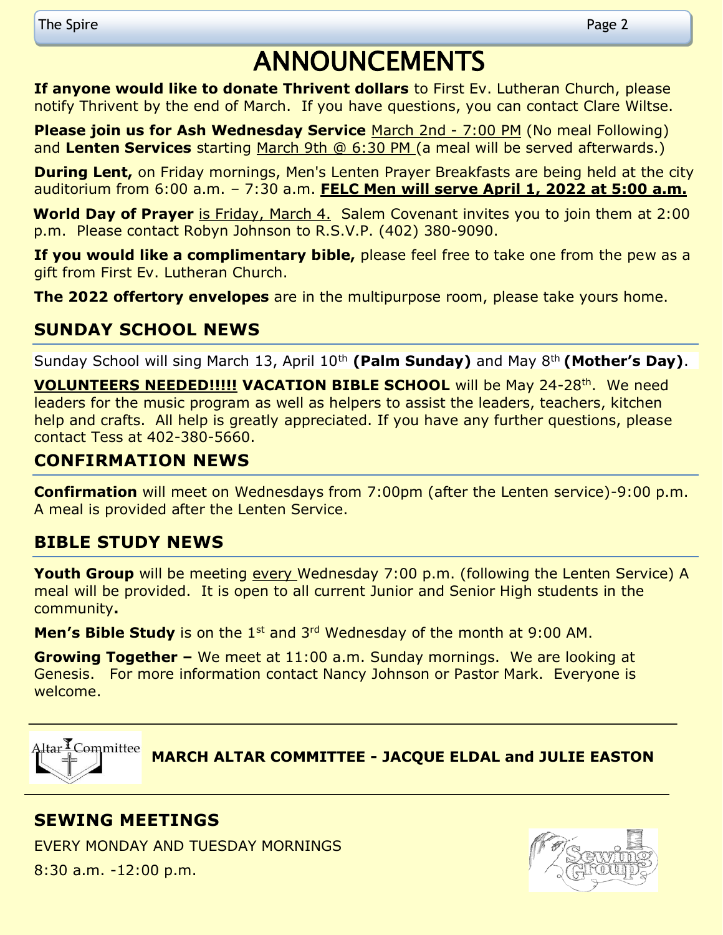# **ANNOUNCEMENTS**

**If anyone would like to donate Thrivent dollars** to First Ev. Lutheran Church, please notify Thrivent by the end of March. If you have questions, you can contact Clare Wiltse.

**Please join us for Ash Wednesday Service** March 2nd - 7:00 PM (No meal Following) and **Lenten Services** starting March 9th @ 6:30 PM (a meal will be served afterwards.)

**During Lent,** on Friday mornings, Men's Lenten Prayer Breakfasts are being held at the city auditorium from 6:00 a.m. – 7:30 a.m. **FELC Men will serve April 1, 2022 at 5:00 a.m.**

**World Day of Prayer** is Friday, March 4. Salem Covenant invites you to join them at 2:00 p.m. Please contact Robyn Johnson to R.S.V.P. (402) 380-9090.

**If you would like a complimentary bible,** please feel free to take one from the pew as a gift from First Ev. Lutheran Church.

**The 2022 offertory envelopes** are in the multipurpose room, please take yours home.

#### **SUNDAY SCHOOL NEWS**

Sunday School will sing March 13, April 10<sup>th</sup> (Palm Sunday) and May 8<sup>th</sup> (Mother's Day).

**VOLUNTEERS NEEDED!!!!! VACATION BIBLE SCHOOL** will be May 24-28<sup>th</sup>. We need leaders for the music program as well as helpers to assist the leaders, teachers, kitchen help and crafts. All help is greatly appreciated. If you have any further questions, please contact Tess at 402-380-5660.

#### **CONFIRMATION NEWS**

**Confirmation** will meet on Wednesdays from 7:00pm (after the Lenten service)-9:00 p.m. A meal is provided after the Lenten Service.

#### **BIBLE STUDY NEWS**

Youth Group will be meeting every Wednesday 7:00 p.m. (following the Lenten Service) A meal will be provided. It is open to all current Junior and Senior High students in the community**.**

**Men's Bible Study** is on the 1<sup>st</sup> and 3<sup>rd</sup> Wednesday of the month at 9:00 AM.

**Growing Together –** We meet at 11:00 a.m. Sunday mornings. We are looking at Genesis. For more information contact Nancy Johnson or Pastor Mark. Everyone is welcome.



**MARCH ALTAR COMMITTEE - JACQUE ELDAL and JULIE EASTON**

#### **SEWING MEETINGS**

EVERY MONDAY AND TUESDAY MORNINGS 8:30 a.m. -12:00 p.m.

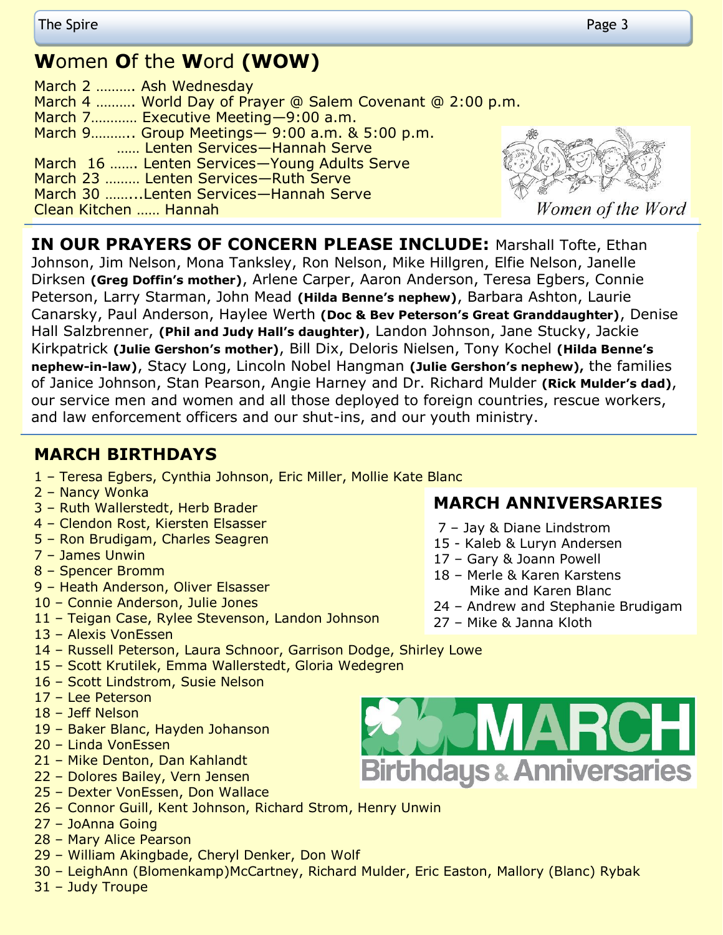# **W**omen **O**f the **W**ord **(WOW)**

| March 2  Ash Wednesday                                    |                |
|-----------------------------------------------------------|----------------|
| March 4  World Day of Prayer @ Salem Covenant @ 2:00 p.m. |                |
| March 7 Executive Meeting-9:00 a.m.                       |                |
| March 9 Group Meetings - 9:00 a.m. & 5:00 p.m.            |                |
| Lenten Services-Hannah Serve                              | <b>CONNECT</b> |
| March 16  Lenten Services-Young Adults Serve              | Company of     |
| March 23  Lenten Services-Ruth Serve                      |                |
| March 30 Lenten Services-Hannah Serve                     |                |
| Clean Kitchen  Hannah                                     |                |



Women of the Word

**IN OUR PRAYERS OF CONCERN PLEASE INCLUDE:** Marshall Tofte, Ethan Johnson, Jim Nelson, Mona Tanksley, Ron Nelson, Mike Hillgren, Elfie Nelson, Janelle Dirksen **(Greg Doffin's mother)**, Arlene Carper, Aaron Anderson, Teresa Egbers, Connie Peterson, Larry Starman, John Mead **(Hilda Benne's nephew)**, Barbara Ashton, Laurie Canarsky, Paul Anderson, Haylee Werth **(Doc & Bev Peterson's Great Granddaughter)**, Denise Hall Salzbrenner, **(Phil and Judy Hall's daughter)**, Landon Johnson, Jane Stucky, Jackie Kirkpatrick **(Julie Gershon's mother)**, Bill Dix, Deloris Nielsen, Tony Kochel **(Hilda Benne's nephew-in-law)**, Stacy Long, Lincoln Nobel Hangman **(Julie Gershon's nephew),** the families of Janice Johnson, Stan Pearson, Angie Harney and Dr. Richard Mulder **(Rick Mulder's dad)**, our service men and women and all those deployed to foreign countries, rescue workers, and law enforcement officers and our shut-ins, and our youth ministry.

#### **MARCH BIRTHDAYS**

- 1 Teresa Egbers, Cynthia Johnson, Eric Miller, Mollie Kate Blanc
- 2 Nancy Wonka
- 3 Ruth Wallerstedt, Herb Brader
- 4 Clendon Rost, Kiersten Elsasser
- 5 Ron Brudigam, Charles Seagren
- 7 James Unwin
- 8 Spencer Bromm
- 9 Heath Anderson, Oliver Elsasser
- 10 Connie Anderson, Julie Jones
- 11 Teigan Case, Rylee Stevenson, Landon Johnson
- 13 Alexis VonEssen
- 14 Russell Peterson, Laura Schnoor, Garrison Dodge, Shirley Lowe
- 15 Scott Krutilek, Emma Wallerstedt, Gloria Wedegren
- 16 Scott Lindstrom, Susie Nelson
- 17 Lee Peterson
- 18 Jeff Nelson
- 19 Baker Blanc, Hayden Johanson
- 20 Linda VonEssen
- 21 Mike Denton, Dan Kahlandt
- 22 Dolores Bailey, Vern Jensen
- 25 Dexter VonEssen, Don Wallace
- 26 Connor Guill, Kent Johnson, Richard Strom, Henry Unwin
- 27 JoAnna Going
- 28 Mary Alice Pearson
- 29 William Akingbade, Cheryl Denker, Don Wolf
- 30 LeighAnn (Blomenkamp)McCartney, Richard Mulder, Eric Easton, Mallory (Blanc) Rybak
- 31 Judy Troupe

#### **MARCH ANNIVERSARIES**

- 7 Jay & Diane Lindstrom
- 15 Kaleb & Luryn Andersen
- 17 Gary & Joann Powell
- 18 Merle & Karen Karstens Mike and Karen Blanc
- 24 Andrew and Stephanie Brudigam
- 27 Mike & Janna Kloth

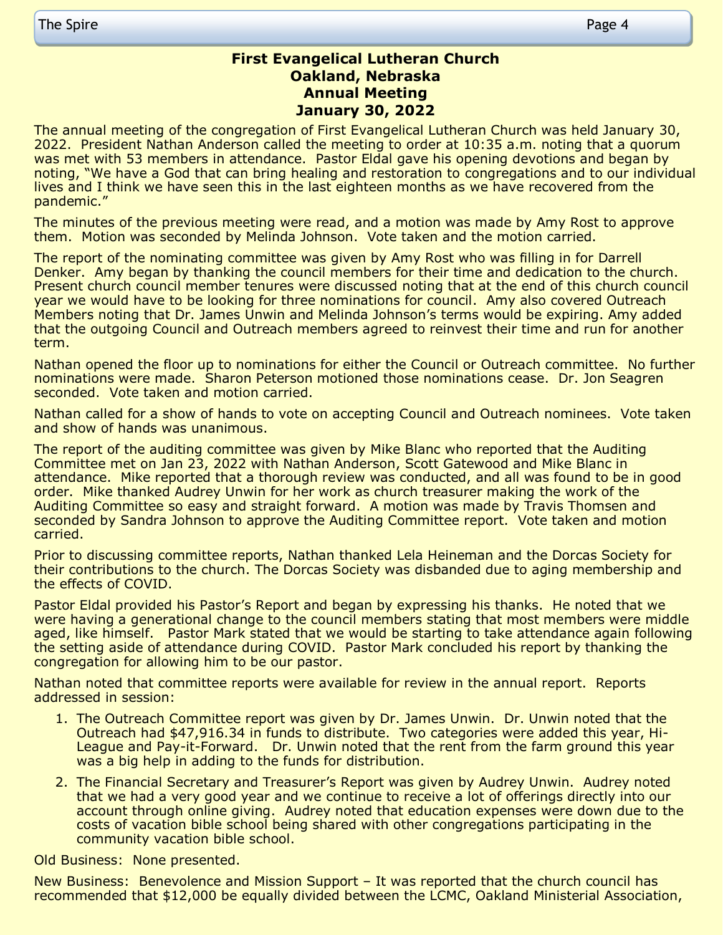#### **First Evangelical Lutheran Church Oakland, Nebraska Annual Meeting January 30, 2022**

The annual meeting of the congregation of First Evangelical Lutheran Church was held January 30, 2022. President Nathan Anderson called the meeting to order at 10:35 a.m. noting that a quorum was met with 53 members in attendance. Pastor Eldal gave his opening devotions and began by noting, "We have a God that can bring healing and restoration to congregations and to our individual lives and I think we have seen this in the last eighteen months as we have recovered from the pandemic."

The minutes of the previous meeting were read, and a motion was made by Amy Rost to approve them. Motion was seconded by Melinda Johnson. Vote taken and the motion carried.

The report of the nominating committee was given by Amy Rost who was filling in for Darrell Denker. Amy began by thanking the council members for their time and dedication to the church. Present church council member tenures were discussed noting that at the end of this church council year we would have to be looking for three nominations for council. Amy also covered Outreach Members noting that Dr. James Unwin and Melinda Johnson's terms would be expiring. Amy added that the outgoing Council and Outreach members agreed to reinvest their time and run for another term.

Nathan opened the floor up to nominations for either the Council or Outreach committee. No further nominations were made. Sharon Peterson motioned those nominations cease. Dr. Jon Seagren seconded. Vote taken and motion carried.

Nathan called for a show of hands to vote on accepting Council and Outreach nominees. Vote taken and show of hands was unanimous.

The report of the auditing committee was given by Mike Blanc who reported that the Auditing Committee met on Jan 23, 2022 with Nathan Anderson, Scott Gatewood and Mike Blanc in attendance. Mike reported that a thorough review was conducted, and all was found to be in good order. Mike thanked Audrey Unwin for her work as church treasurer making the work of the Auditing Committee so easy and straight forward. A motion was made by Travis Thomsen and seconded by Sandra Johnson to approve the Auditing Committee report. Vote taken and motion carried.

Prior to discussing committee reports, Nathan thanked Lela Heineman and the Dorcas Society for their contributions to the church. The Dorcas Society was disbanded due to aging membership and the effects of COVID.

Pastor Eldal provided his Pastor's Report and began by expressing his thanks. He noted that we were having a generational change to the council members stating that most members were middle aged, like himself. Pastor Mark stated that we would be starting to take attendance again following the setting aside of attendance during COVID. Pastor Mark concluded his report by thanking the congregation for allowing him to be our pastor.

Nathan noted that committee reports were available for review in the annual report. Reports addressed in session:

- 1. The Outreach Committee report was given by Dr. James Unwin. Dr. Unwin noted that the Outreach had \$47,916.34 in funds to distribute. Two categories were added this year, Hi-League and Pay-it-Forward. Dr. Unwin noted that the rent from the farm ground this year was a big help in adding to the funds for distribution.
- 2. The Financial Secretary and Treasurer's Report was given by Audrey Unwin. Audrey noted that we had a very good year and we continue to receive a lot of offerings directly into our account through online giving. Audrey noted that education expenses were down due to the costs of vacation bible school being shared with other congregations participating in the community vacation bible school.

Old Business: None presented.

New Business: Benevolence and Mission Support – It was reported that the church council has recommended that \$12,000 be equally divided between the LCMC, Oakland Ministerial Association,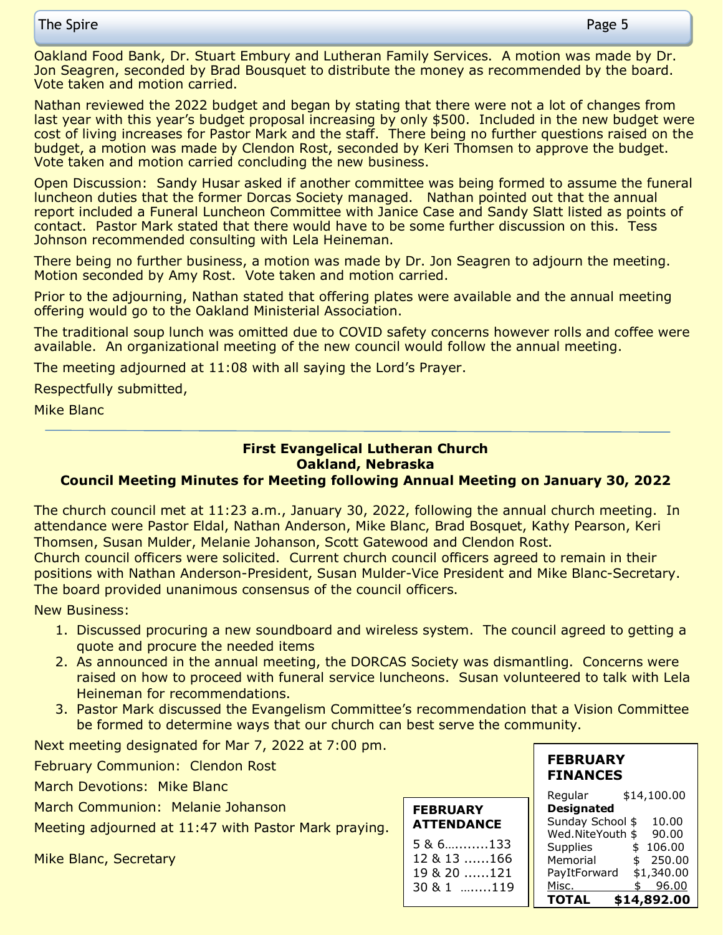Oakland Food Bank, Dr. Stuart Embury and Lutheran Family Services. A motion was made by Dr. Jon Seagren, seconded by Brad Bousquet to distribute the money as recommended by the board. Vote taken and motion carried.

Nathan reviewed the 2022 budget and began by stating that there were not a lot of changes from last year with this year's budget proposal increasing by only \$500. Included in the new budget were cost of living increases for Pastor Mark and the staff. There being no further questions raised on the budget, a motion was made by Clendon Rost, seconded by Keri Thomsen to approve the budget. Vote taken and motion carried concluding the new business.

Open Discussion: Sandy Husar asked if another committee was being formed to assume the funeral luncheon duties that the former Dorcas Society managed. Nathan pointed out that the annual report included a Funeral Luncheon Committee with Janice Case and Sandy Slatt listed as points of contact. Pastor Mark stated that there would have to be some further discussion on this. Tess Johnson recommended consulting with Lela Heineman.

There being no further business, a motion was made by Dr. Jon Seagren to adjourn the meeting. Motion seconded by Amy Rost. Vote taken and motion carried.

Prior to the adjourning, Nathan stated that offering plates were available and the annual meeting offering would go to the Oakland Ministerial Association.

The traditional soup lunch was omitted due to COVID safety concerns however rolls and coffee were available. An organizational meeting of the new council would follow the annual meeting.

The meeting adjourned at 11:08 with all saying the Lord's Prayer.

Respectfully submitted,

Mike Blanc

#### **First Evangelical Lutheran Church Oakland, Nebraska**

#### **Council Meeting Minutes for Meeting following Annual Meeting on January 30, 2022**

The church council met at 11:23 a.m., January 30, 2022, following the annual church meeting. In attendance were Pastor Eldal, Nathan Anderson, Mike Blanc, Brad Bosquet, Kathy Pearson, Keri Thomsen, Susan Mulder, Melanie Johanson, Scott Gatewood and Clendon Rost. Church council officers were solicited. Current church council officers agreed to remain in their positions with Nathan Anderson-President, Susan Mulder-Vice President and Mike Blanc-Secretary.

The board provided unanimous consensus of the council officers.

New Business:

- 1. Discussed procuring a new soundboard and wireless system. The council agreed to getting a quote and procure the needed items
- 2. As announced in the annual meeting, the DORCAS Society was dismantling. Concerns were raised on how to proceed with funeral service luncheons. Susan volunteered to talk with Lela Heineman for recommendations.
- 3. Pastor Mark discussed the Evangelism Committee's recommendation that a Vision Committee be formed to determine ways that our church can best serve the community.

Next meeting designated for Mar 7, 2022 at 7:00 pm.

February Communion: Clendon Rost

March Devotions: Mike Blanc

March Communion: Melanie Johanson

Meeting adjourned at 11:47 with Pastor Mark praying.

Mike Blanc, Secretary

| <b>FEBRUARY</b><br><b>ATTENDANCE</b>    |  |
|-----------------------------------------|--|
| $586$ 133<br>12 & 13 166<br>19 & 20 121 |  |
| $3081$ 119                              |  |

#### **FEBRUARY FINANCES**

| Regular           | \$14,100.00  |
|-------------------|--------------|
| <b>Designated</b> |              |
| Sunday School \$  | 10.00        |
| Wed.NiteYouth \$  | 90.00        |
| Supplies          | 106.00<br>\$ |
| Memorial          | 250.00<br>\$ |
| PayItForward      | \$1,340.00   |
| Misc.             | 96.00<br>\$  |
| TOTAL             | \$14,892.00  |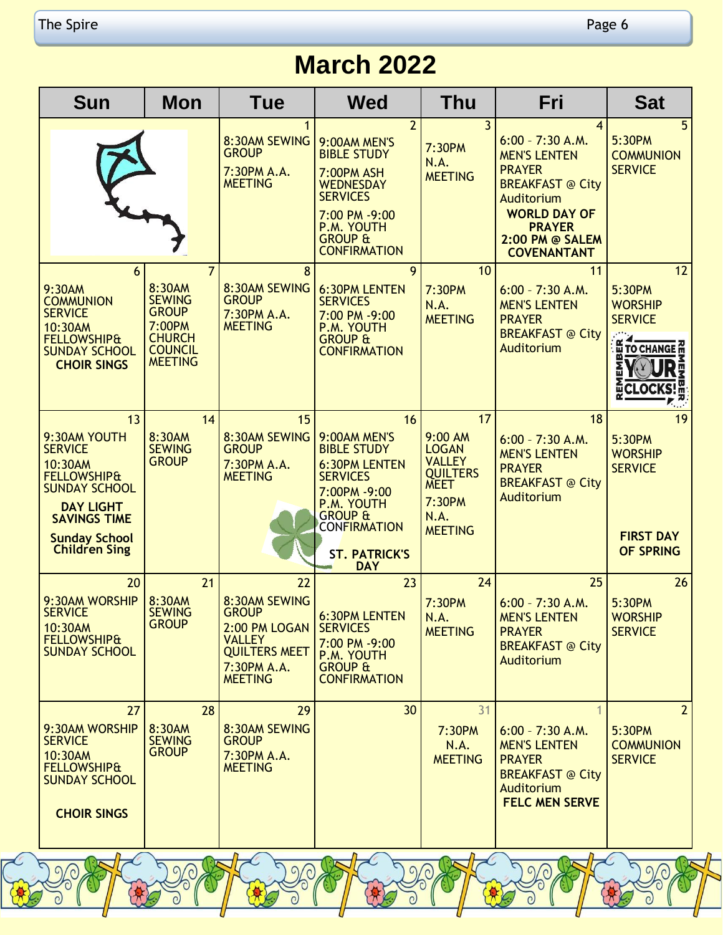# **March 2022**

| <b>Sun</b>                                                                                                                                                                                   | <b>Mon</b>                                                                                                               | Tue                                                                                                                            | <b>Wed</b>                                                                                                                                                                                           | Thu                                                                                                                  | Fri                                                                                                                                                                                                    | <b>Sat</b>                                                                                            |
|----------------------------------------------------------------------------------------------------------------------------------------------------------------------------------------------|--------------------------------------------------------------------------------------------------------------------------|--------------------------------------------------------------------------------------------------------------------------------|------------------------------------------------------------------------------------------------------------------------------------------------------------------------------------------------------|----------------------------------------------------------------------------------------------------------------------|--------------------------------------------------------------------------------------------------------------------------------------------------------------------------------------------------------|-------------------------------------------------------------------------------------------------------|
|                                                                                                                                                                                              |                                                                                                                          | 8:30AM SEWING<br><b>GROUP</b><br>7:30PM A.A.<br><b>MEETING</b>                                                                 | $\overline{2}$<br>9:00AM MEN'S<br><b>BIBLE STUDY</b><br><b>7:00PM ASH</b><br><b>WEDNESDAY</b><br><b>SERVICES</b><br>7:00 PM -9:00<br>P.M. YOUTH<br><b>GROUP &amp;</b><br><b>CONFIRMATION</b>         | $\overline{3}$<br>7:30PM<br>N.A.<br><b>MEETING</b>                                                                   | $\overline{4}$<br>$6:00 - 7:30$ A.M.<br><b>MEN'S LENTEN</b><br><b>PRAYER</b><br><b>BREAKFAST @ City</b><br>Auditorium<br><b>WORLD DAY OF</b><br><b>PRAYER</b><br>2:00 PM @ SALEM<br><b>COVENANTANT</b> | 5 <sup>1</sup><br>5:30PM<br><b>COMMUNION</b><br><b>SERVICE</b>                                        |
| 6<br>9:30AM<br><b>COMMUNION</b><br><b>SERVICE</b><br>10:30AM<br><b>FELLOWSHIP&amp;</b><br><b>SUNDAY SCHOOL</b><br><b>CHOIR SINGS</b>                                                         | $\overline{7}$<br>8:30AM<br><b>SEWING</b><br><b>GROUP</b><br>7:00PM<br><b>CHURCH</b><br><b>COUNCIL</b><br><b>MEETING</b> | 8<br>8:30AM SEWING<br><b>GROUP</b><br>7:30PM A.A.<br><b>MEETING</b>                                                            | 9<br><b>6:30PM LENTEN</b><br><b>SERVICES</b><br>7:00 PM -9:00<br>P.M. YOUTH<br><b>GROUP &amp;</b><br><b>CONFIRMATION</b>                                                                             | 10<br>7:30PM<br>N.A.<br><b>MEETING</b>                                                                               | 11<br>$6:00 - 7:30$ A.M.<br><b>MEN'S LENTEN</b><br><b>PRAYER</b><br><b>BREAKFAST @ City</b><br>Auditorium                                                                                              | 12<br>5:30PM<br><b>WORSHIP</b><br><b>SERVICE</b><br><b>E TO CHANGE M</b><br>D<br>찢<br><b>ECLOCKS!</b> |
| 13<br>9:30AM YOUTH<br><b>SERVICE</b><br>10:30AM<br><b>FELLOWSHIP&amp;</b><br><b>SUNDAY SCHOOL</b><br><b>DAY LIGHT</b><br><b>SAVINGS TIME</b><br><b>Sunday School</b><br><b>Children Sing</b> | 14<br>8:30AM<br><b>SEWING</b><br><b>GROUP</b>                                                                            | 15<br>8:30AM SEWING<br><b>GROUP</b><br>7:30PM A.A.<br><b>MEETING</b>                                                           | 16<br>9:00AM MEN'S<br><b>BIBLE STUDY</b><br><b>6:30PM LENTEN</b><br><b>SERVICES</b><br>7:00PM -9:00<br>P.M. YOUTH<br><b>GROUP &amp;</b><br><b>CONFIRMATION</b><br><b>ST. PATRICK'S</b><br><b>DAY</b> | 17<br>9:00 AM<br><b>LOGAN</b><br><b>VALLEY</b><br><b>QUILTERS</b><br><b>MEET</b><br>7:30PM<br>N.A.<br><b>MEETING</b> | 18<br>$6:00 - 7:30$ A.M.<br><b>MEN'S LENTEN</b><br><b>PRAYER</b><br><b>BREAKFAST @ City</b><br>Auditorium                                                                                              | 19<br>5:30PM<br><b>WORSHIP</b><br><b>SERVICE</b><br><b>FIRST DAY</b><br>OF SPRING                     |
| 20<br>9:30AM WORSHIP<br><b>SERVICE</b><br>10:30AM<br><b>FELLOWSHIP&amp;</b><br><b>SUNDAY SCHOOL</b>                                                                                          | 21<br>8:30AM<br><b>SEWING</b><br><b>GROUP</b>                                                                            | 22<br>8:30AM SEWING<br><b>GROUP</b><br>2:00 PM LOGAN<br><b>VALLEY</b><br><b>QUILTERS MEET</b><br>7:30PM A.A.<br><b>MEETING</b> | 23<br><b>6:30PM LENTEN</b><br><b>SERVICES</b><br>7:00 PM -9:00<br>P.M. YOUTH<br><b>GROUP &amp;</b><br><b>CONFIRMATION</b>                                                                            | 24<br>7:30PM<br>N.A.<br><b>MEETING</b>                                                                               | 25<br>$6:00 - 7:30$ A.M.<br><b>MEN'S LENTEN</b><br><b>PRAYER</b><br><b>BREAKFAST @ City</b><br>Auditorium                                                                                              | 26<br>5:30PM<br><b>WORSHIP</b><br><b>SERVICE</b>                                                      |
| 27<br>9:30AM WORSHIP<br><b>SERVICE</b><br>10:30AM<br><b>FELLOWSHIP&amp;</b><br><b>SUNDAY SCHOOL</b><br><b>CHOIR SINGS</b>                                                                    | 28<br>8:30AM<br><b>SEWING</b><br><b>GROUP</b>                                                                            | 29<br>8:30AM SEWING<br><b>GROUP</b><br>7:30PM A.A.<br><b>MEETING</b>                                                           | 30                                                                                                                                                                                                   | 31<br>7:30PM<br>N.A.<br><b>MEETING</b>                                                                               | $6:00 - 7:30 A.M.$<br><b>MEN'S LENTEN</b><br><b>PRAYER</b><br><b>BREAKFAST @ City</b><br>Auditorium<br><b>FELC MEN SERVE</b>                                                                           | $\overline{2}$<br>5:30PM<br><b>COMMUNION</b><br><b>SERVICE</b>                                        |
| $\Omega$                                                                                                                                                                                     |                                                                                                                          | $\sigma$                                                                                                                       |                                                                                                                                                                                                      |                                                                                                                      | $\mathcal{L}(\mathcal{O})$                                                                                                                                                                             |                                                                                                       |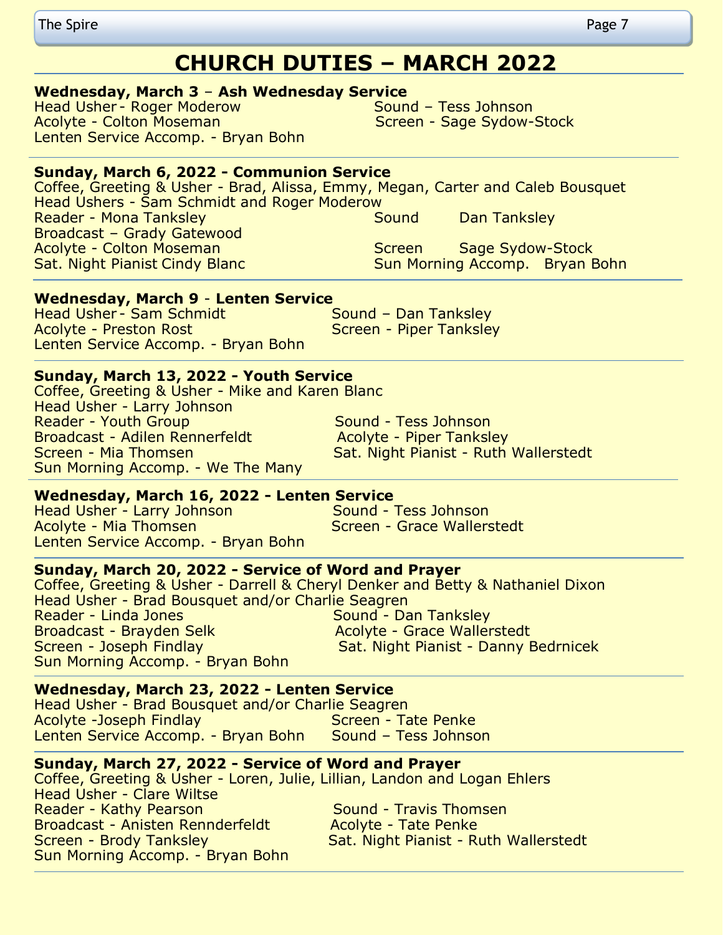## **CHURCH DUTIES – MARCH 2022**

#### **Wednesday, March 3** – **Ash Wednesday Service**

Head Usher - Roger Moderow Sound – Tess Johnson Acolyte - Colton Moseman National Screen - Sage Sydow-Stock Lenten Service Accomp. - Bryan Bohn

#### **Sunday, March 6, 2022 - Communion Service**

Coffee, Greeting & Usher - Brad, Alissa, Emmy, Megan, Carter and Caleb Bousquet Head Ushers - Sam Schmidt and Roger Moderow Reader - Mona Tanksley Network Cound Dan Tanksley Broadcast – Grady Gatewood Acolyte - Colton Moseman New Screen Sage Sydow-Stock Sat. Night Pianist Cindy Blanc Sun Morning Accomp. Bryan Bohn

#### **Wednesday, March 9** - **Lenten Service**

Head Usher - Sam Schmidt Sound – Dan Tanksley Acolyte - Preston Rost Screen - Piper Tanksley Lenten Service Accomp. - Bryan Bohn

#### **Sunday, March 13, 2022 - Youth Service**

Coffee, Greeting & Usher - Mike and Karen Blanc Head Usher - Larry Johnson Reader - Youth Group Sound - Tess Johnson Broadcast - Adilen Rennerfeldt **Acolyte - Piper Tanksley** Screen - Mia Thomsen Sat. Night Pianist - Ruth Wallerstedt Sun Morning Accomp. - We The Many

#### **Wednesday, March 16, 2022 - Lenten Service**

Head Usher - Larry Johnson Sound - Tess Johnson Acolyte - Mia Thomsen Screen - Grace Wallerstedt Lenten Service Accomp. - Bryan Bohn

#### **Sunday, March 20, 2022 - Service of Word and Prayer**

Coffee, Greeting & Usher - Darrell & Cheryl Denker and Betty & Nathaniel Dixon Head Usher - Brad Bousquet and/or Charlie Seagren **Sound - Dan Tanksley** Broadcast - Brayden Selk Acolyte - Grace Wallerstedt Screen - Joseph Findlay Sat. Night Pianist - Danny Bedrnicek Sun Morning Accomp. - Bryan Bohn

#### **Wednesday, March 23, 2022 - Lenten Service**

Head Usher - Brad Bousquet and/or Charlie Seagren Acolyte -Joseph Findlay New York Screen - Tate Penke Lenten Service Accomp. - Bryan Bohn Sound – Tess Johnson

#### **Sunday, March 27, 2022 - Service of Word and Prayer**

Coffee, Greeting & Usher - Loren, Julie, Lillian, Landon and Logan Ehlers Head Usher - Clare Wiltse Reader - Kathy Pearson Sound - Travis Thomsen Broadcast - Anisten Rennderfeldt Acolyte - Tate Penke Screen - Brody Tanksley Sat. Night Pianist - Ruth Wallerstedt Sun Morning Accomp. - Bryan Bohn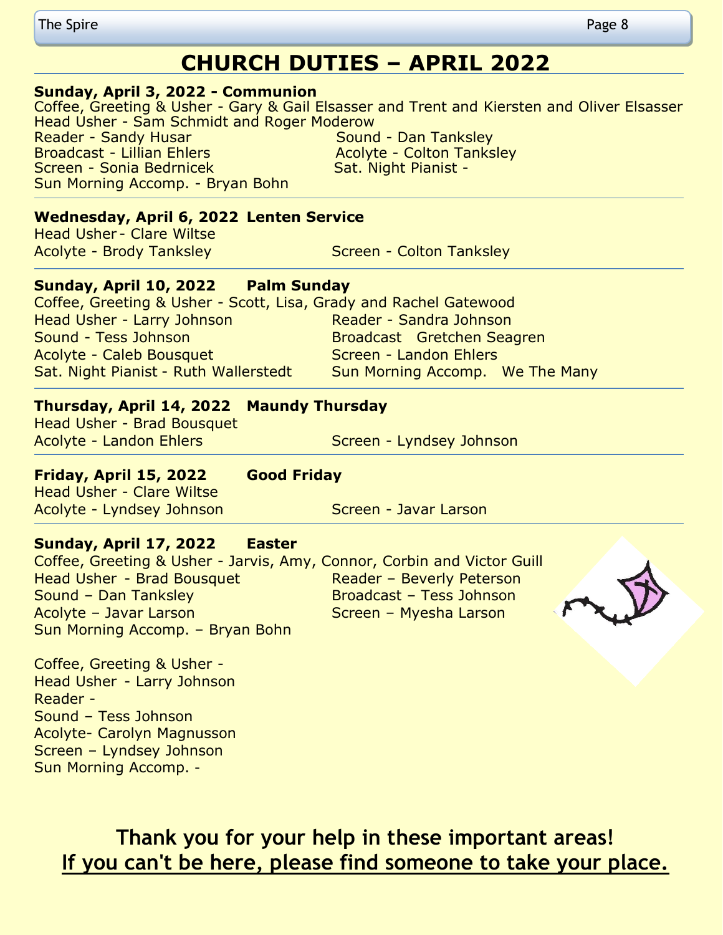#### **Sunday, April 3, 2022 - Communion**

Coffee, Greeting & Usher - Gary & Gail Elsasser and Trent and Kiersten and Oliver Elsasser Head Usher - Sam Schmidt and Roger Moderow Reader - Sandy Husar Sound - Dan Tanksley Broadcast - Lillian Ehlers Acolyte - Colton Tanksley Screen - Sonia Bedrnicek Manuel Sat. Night Pianist -Sun Morning Accomp. - Bryan Bohn

#### **Wednesday, April 6, 2022 Lenten Service**

**Head Usher - Clare Wiltse** 

Acolyte - Brody Tanksley North Colton Tanksley

#### **Sunday, April 10, 2022 Palm Sunday**

Coffee, Greeting & Usher - Scott, Lisa, Grady and Rachel Gatewood Head Usher - Larry Johnson Reader - Sandra Johnson Sound - Tess Johnson Broadcast Gretchen Seagren Acolyte - Caleb Bousquet **Screen - Landon Ehlers** Sat. Night Pianist - Ruth Wallerstedt Sun Morning Accomp. We The Many

#### **Thursday, April 14, 2022 Maundy Thursday**

Head Usher - Brad Bousquet

Acolyte - Landon Ehlers Screen - Lyndsey Johnson

#### **Friday, April 15, 2022 Good Friday**

Head Usher - Clare Wiltse Acolyte - Lyndsey Johnson Screen - Javar Larson

#### **Sunday, April 17, 2022 Easter**

Coffee, Greeting & Usher - Jarvis, Amy, Connor, Corbin and Victor Guill Head Usher - Brad Bousquet Reader – Beverly Peterson Sound – Dan Tanksley Broadcast – Tess Johnson Acolyte – Javar Larson Screen – Myesha Larson Sun Morning Accomp. – Bryan Bohn

Coffee, Greeting & Usher - Head Usher - Larry Johnson Reader - Sound – Tess Johnson Acolyte- Carolyn Magnusson Screen – Lyndsey Johnson Sun Morning Accomp. -

> **Thank you for your help in these important areas! If you can't be here, please find someone to take your place.**

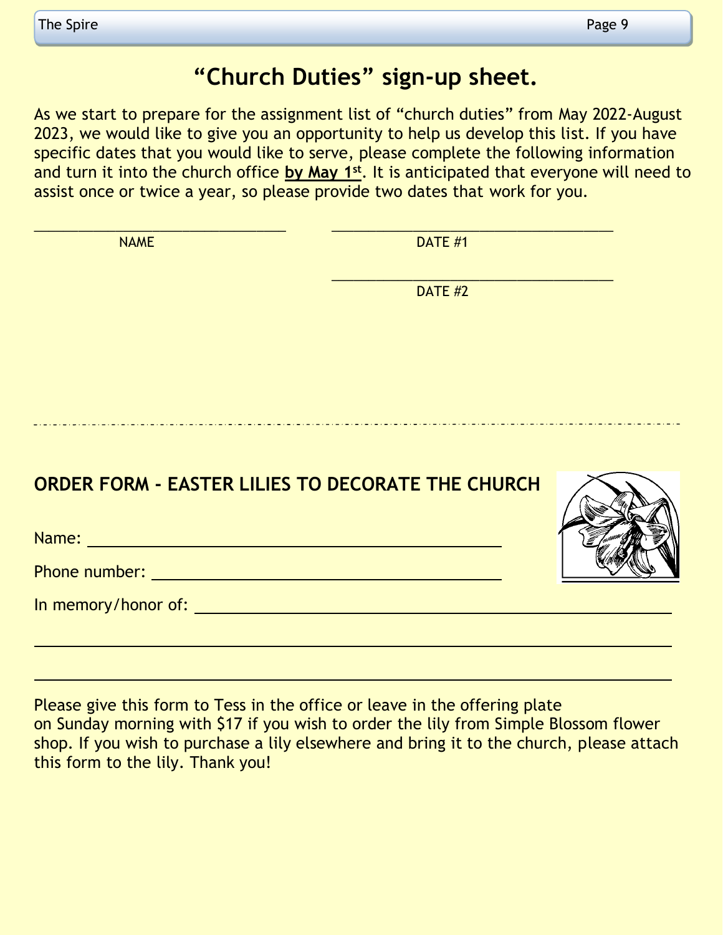# **"Church Duties" sign-up sheet.**

As we start to prepare for the assignment list of "church duties" from May 2022-August 2023, we would like to give you an opportunity to help us develop this list. If you have specific dates that you would like to serve, please complete the following information and turn it into the church office **by May 1st**. It is anticipated that everyone will need to assist once or twice a year, so please provide two dates that work for you.

| <b>NAME</b>                                                                                                                                                                                                                         | <b>DATE #1</b> |  |
|-------------------------------------------------------------------------------------------------------------------------------------------------------------------------------------------------------------------------------------|----------------|--|
|                                                                                                                                                                                                                                     | <b>DATE #2</b> |  |
|                                                                                                                                                                                                                                     |                |  |
|                                                                                                                                                                                                                                     |                |  |
|                                                                                                                                                                                                                                     |                |  |
| <b>ORDER FORM - EASTER LILIES TO DECORATE THE CHURCH</b>                                                                                                                                                                            |                |  |
|                                                                                                                                                                                                                                     |                |  |
|                                                                                                                                                                                                                                     |                |  |
| In memory/honor of: <u>contained a series of</u> the memory of the series of the series of the series of the series of the series of the series of the series of the series of the series of the series of the series of the series |                |  |

Please give this form to Tess in the office or leave in the offering plate on Sunday morning with \$17 if you wish to order the lily from Simple Blossom flower shop. If you wish to purchase a lily elsewhere and bring it to the church, please attach this form to the lily. Thank you!